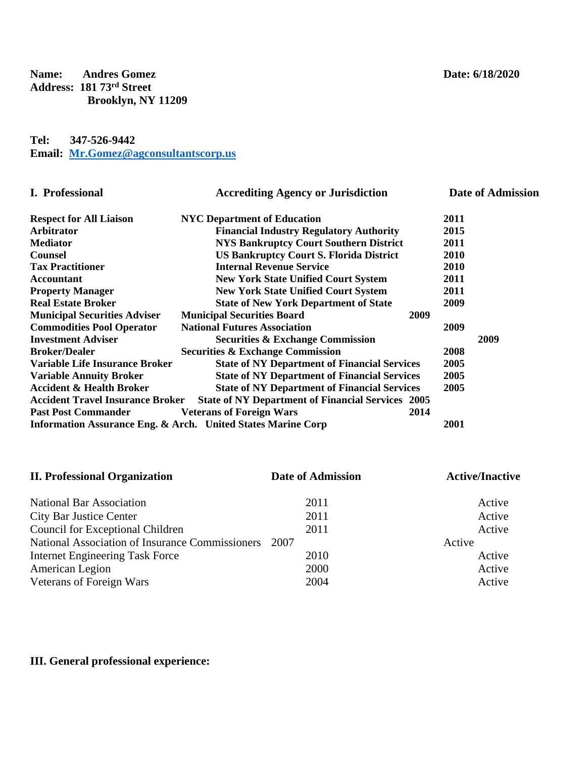**Name: Andres Gomez Date: 6/18/2020 Address: 181 73rd Street Brooklyn, NY 11209**

## **Tel: 347-526-9442 Email: [Mr.Gomez@agconsultantscorp.us](mailto:Mr.Gomez@agconsultantscorp.us)**

| <b>I.</b> Professional                  | <b>Accrediting Agency or Jurisdiction</b>                    |      | <b>Date of Admission</b> |
|-----------------------------------------|--------------------------------------------------------------|------|--------------------------|
| <b>Respect for All Liaison</b>          | <b>NYC</b> Department of Education                           | 2011 |                          |
| Arbitrator                              | <b>Financial Industry Regulatory Authority</b>               | 2015 |                          |
| <b>Mediator</b>                         | <b>NYS Bankruptcy Court Southern District</b>                | 2011 |                          |
| <b>Counsel</b>                          | <b>US Bankruptcy Court S. Florida District</b>               | 2010 |                          |
| <b>Tax Practitioner</b>                 | <b>Internal Revenue Service</b>                              | 2010 |                          |
| <b>Accountant</b>                       | <b>New York State Unified Court System</b>                   | 2011 |                          |
| <b>Property Manager</b>                 | <b>New York State Unified Court System</b>                   | 2011 |                          |
| <b>Real Estate Broker</b>               | <b>State of New York Department of State</b>                 | 2009 |                          |
| <b>Municipal Securities Adviser</b>     | <b>Municipal Securities Board</b>                            | 2009 |                          |
| <b>Commodities Pool Operator</b>        | <b>National Futures Association</b>                          | 2009 |                          |
| <b>Investment Adviser</b>               | <b>Securities &amp; Exchange Commission</b>                  |      | 2009                     |
| <b>Broker/Dealer</b>                    | <b>Securities &amp; Exchange Commission</b>                  | 2008 |                          |
| <b>Variable Life Insurance Broker</b>   | <b>State of NY Department of Financial Services</b>          | 2005 |                          |
| <b>Variable Annuity Broker</b>          | <b>State of NY Department of Financial Services</b>          | 2005 |                          |
| <b>Accident &amp; Health Broker</b>     | <b>State of NY Department of Financial Services</b>          | 2005 |                          |
| <b>Accident Travel Insurance Broker</b> | <b>State of NY Department of Financial Services 2005</b>     |      |                          |
| <b>Past Post Commander</b>              | <b>Veterans of Foreign Wars</b>                              | 2014 |                          |
|                                         | Information Assurance Eng. & Arch. United States Marine Corp | 2001 |                          |

| <b>II. Professional Organization</b>                    | <b>Date of Admission</b> | <b>Active/Inactive</b> |
|---------------------------------------------------------|--------------------------|------------------------|
| <b>National Bar Association</b>                         | 2011                     | Active                 |
| <b>City Bar Justice Center</b>                          | 2011                     | Active                 |
| Council for Exceptional Children                        | 2011                     | Active                 |
| National Association of Insurance Commissioners<br>2007 |                          | Active                 |
| <b>Internet Engineering Task Force</b>                  | 2010                     | Active                 |
| American Legion                                         | 2000                     | Active                 |
| Veterans of Foreign Wars<br>2004                        |                          | Active                 |

## **III. General professional experience:**